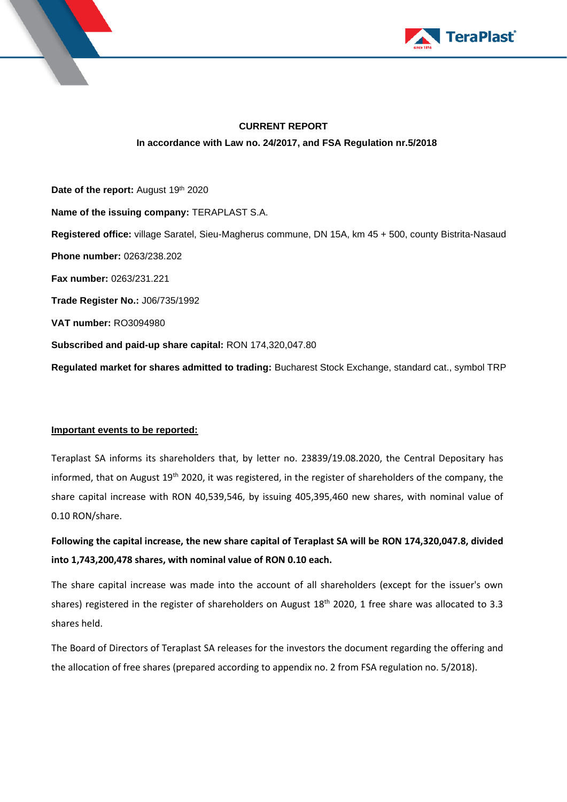



# **CURRENT REPORT In accordance with Law no. 24/2017, and FSA Regulation nr.5/2018**

Date of the report: August 19th 2020 **Name of the issuing company:** TERAPLAST S.A. **Registered office:** village Saratel, Sieu-Magherus commune, DN 15A, km 45 + 500, county Bistrita-Nasaud **Phone number:** 0263/238.202 **Fax number:** 0263/231.221 **Trade Register No.:** J06/735/1992 **VAT number:** RO3094980 **Subscribed and paid-up share capital:** RON 174,320,047.80 **Regulated market for shares admitted to trading:** Bucharest Stock Exchange, standard cat., symbol TRP

## **Important events to be reported:**

Teraplast SA informs its shareholders that, by letter no. 23839/19.08.2020, the Central Depositary has informed, that on August 19<sup>th</sup> 2020, it was registered, in the register of shareholders of the company, the share capital increase with RON 40,539,546, by issuing 405,395,460 new shares, with nominal value of 0.10 RON/share.

**Following the capital increase, the new share capital of Teraplast SA will be RON 174,320,047.8, divided into 1,743,200,478 shares, with nominal value of RON 0.10 each.** 

The share capital increase was made into the account of all shareholders (except for the issuer's own shares) registered in the register of shareholders on August 18<sup>th</sup> 2020, 1 free share was allocated to 3.3 shares held.

The Board of Directors of Teraplast SA releases for the investors the document regarding the offering and the allocation of free shares (prepared according to appendix no. 2 from FSA regulation no. 5/2018).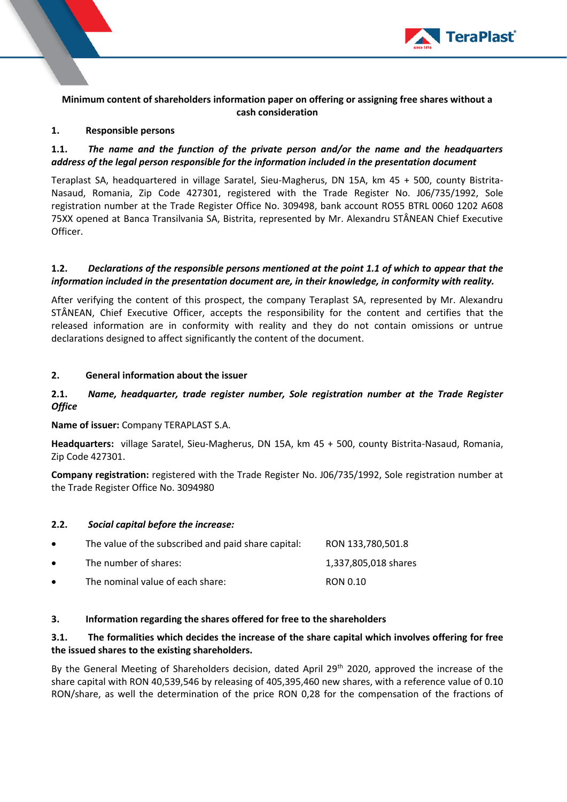

**Minimum content of shareholders information paper on offering or assigning free shares without a cash consideration**

#### **1. Responsible persons**

## **1.1.** *The name and the function of the private person and/or the name and the headquarters address of the legal person responsible for the information included in the presentation document*

Teraplast SA, headquartered in village Saratel, Sieu-Magherus, DN 15A, km 45 + 500, county Bistrita-Nasaud, Romania, Zip Code 427301, registered with the Trade Register No. J06/735/1992, Sole registration number at the Trade Register Office No. 309498, bank account RO55 BTRL 0060 1202 A608 75XX opened at Banca Transilvania SA, Bistrita, represented by Mr. Alexandru STÂNEAN Chief Executive Officer.

## **1.2.** *Declarations of the responsible persons mentioned at the point 1.1 of which to appear that the information included in the presentation document are, in their knowledge, in conformity with reality.*

After verifying the content of this prospect, the company Teraplast SA, represented by Mr. Alexandru STÂNEAN, Chief Executive Officer, accepts the responsibility for the content and certifies that the released information are in conformity with reality and they do not contain omissions or untrue declarations designed to affect significantly the content of the document.

#### **2. General information about the issuer**

### **2.1.** *Name, headquarter, trade register number, Sole registration number at the Trade Register Office*

**Name of issuer:** Company TERAPLAST S.A.

**Headquarters:** village Saratel, Sieu-Magherus, DN 15A, km 45 + 500, county Bistrita-Nasaud, Romania, Zip Code 427301.

**Company registration:** registered with the Trade Register No. J06/735/1992, Sole registration number at the Trade Register Office No. 3094980

#### **2.2.** *Social capital before the increase:*

| $\bullet$ | The value of the subscribed and paid share capital: | RON 133.780.501.8    |
|-----------|-----------------------------------------------------|----------------------|
| $\bullet$ | The number of shares:                               | 1,337,805,018 shares |
| $\bullet$ | The nominal value of each share:                    | RON 0.10             |

#### **3. Information regarding the shares offered for free to the shareholders**

## **3.1. The formalities which decides the increase of the share capital which involves offering for free the issued shares to the existing shareholders.**

By the General Meeting of Shareholders decision, dated April 29<sup>th</sup> 2020, approved the increase of the share capital with RON 40,539,546 by releasing of 405,395,460 new shares, with a reference value of 0.10 RON/share, as well the determination of the price RON 0,28 for the compensation of the fractions of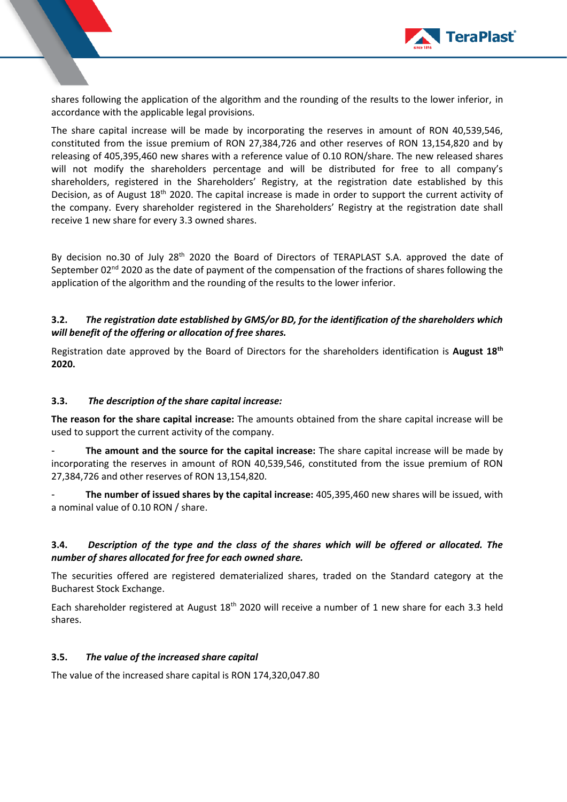

shares following the application of the algorithm and the rounding of the results to the lower inferior, in accordance with the applicable legal provisions.

The share capital increase will be made by incorporating the reserves in amount of RON 40,539,546, constituted from the issue premium of RON 27,384,726 and other reserves of RON 13,154,820 and by releasing of 405,395,460 new shares with a reference value of 0.10 RON/share. The new released shares will not modify the shareholders percentage and will be distributed for free to all company's shareholders, registered in the Shareholders' Registry, at the registration date established by this Decision, as of August 18<sup>th</sup> 2020. The capital increase is made in order to support the current activity of the company. Every shareholder registered in the Shareholders' Registry at the registration date shall receive 1 new share for every 3.3 owned shares.

By decision no.30 of July 28<sup>th</sup> 2020 the Board of Directors of TERAPLAST S.A. approved the date of September  $02<sup>nd</sup>$  2020 as the date of payment of the compensation of the fractions of shares following the application of the algorithm and the rounding of the results to the lower inferior.

## **3.2.** *The registration date established by GMS/or BD, for the identification of the shareholders which will benefit of the offering or allocation of free shares.*

Registration date approved by the Board of Directors for the shareholders identification is **August 18th 2020.**

### **3.3.** *The description of the share capital increase:*

**The reason for the share capital increase:** The amounts obtained from the share capital increase will be used to support the current activity of the company.

- **The amount and the source for the capital increase:** The share capital increase will be made by incorporating the reserves in amount of RON 40,539,546, constituted from the issue premium of RON 27,384,726 and other reserves of RON 13,154,820.

- **The number of issued shares by the capital increase:** 405,395,460 new shares will be issued, with a nominal value of 0.10 RON / share.

## **3.4.** *Description of the type and the class of the shares which will be offered or allocated. The number of shares allocated for free for each owned share.*

The securities offered are registered dematerialized shares, traded on the Standard category at the Bucharest Stock Exchange.

Each shareholder registered at August 18<sup>th</sup> 2020 will receive a number of 1 new share for each 3.3 held shares.

#### **3.5.** *The value of the increased share capital*

The value of the increased share capital is RON 174,320,047.80